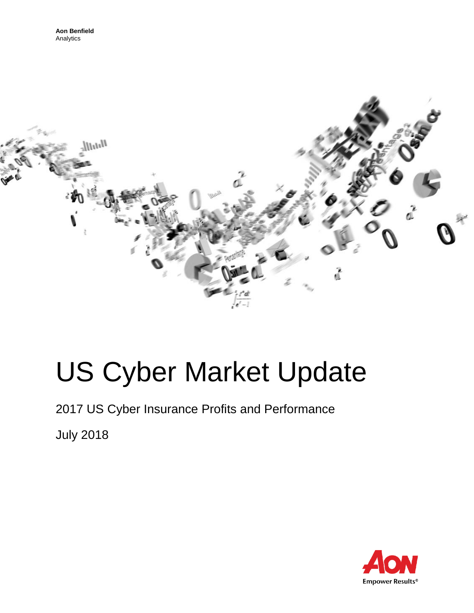

# US Cyber Market Update

2017 US Cyber Insurance Profits and Performance

July 2018

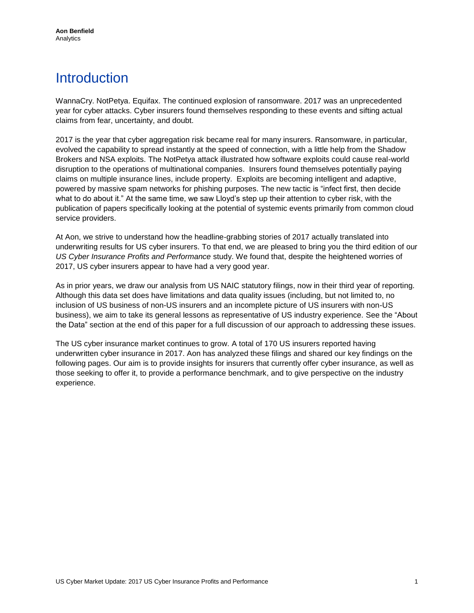# **Introduction**

WannaCry. NotPetya. Equifax. The continued explosion of ransomware. 2017 was an unprecedented year for cyber attacks. Cyber insurers found themselves responding to these events and sifting actual claims from fear, uncertainty, and doubt.

2017 is the year that cyber aggregation risk became real for many insurers. Ransomware, in particular, evolved the capability to spread instantly at the speed of connection, with a little help from the Shadow Brokers and NSA exploits. The NotPetya attack illustrated how software exploits could cause real-world disruption to the operations of multinational companies. Insurers found themselves potentially paying claims on multiple insurance lines, include property. Exploits are becoming intelligent and adaptive, powered by massive spam networks for phishing purposes. The new tactic is "infect first, then decide what to do about it." At the same time, we saw Lloyd's step up their attention to cyber risk, with the publication of papers specifically looking at the potential of systemic events primarily from common cloud service providers.

At Aon, we strive to understand how the headline-grabbing stories of 2017 actually translated into underwriting results for US cyber insurers. To that end, we are pleased to bring you the third edition of our *US Cyber Insurance Profits and Performance* study. We found that, despite the heightened worries of 2017, US cyber insurers appear to have had a very good year.

As in prior years, we draw our analysis from US NAIC statutory filings, now in their third year of reporting. Although this data set does have limitations and data quality issues (including, but not limited to, no inclusion of US business of non-US insurers and an incomplete picture of US insurers with non-US business), we aim to take its general lessons as representative of US industry experience. See the "About the Data" section at the end of this paper for a full discussion of our approach to addressing these issues.

The US cyber insurance market continues to grow. A total of 170 US insurers reported having underwritten cyber insurance in 2017. Aon has analyzed these filings and shared our key findings on the following pages. Our aim is to provide insights for insurers that currently offer cyber insurance, as well as those seeking to offer it, to provide a performance benchmark, and to give perspective on the industry experience.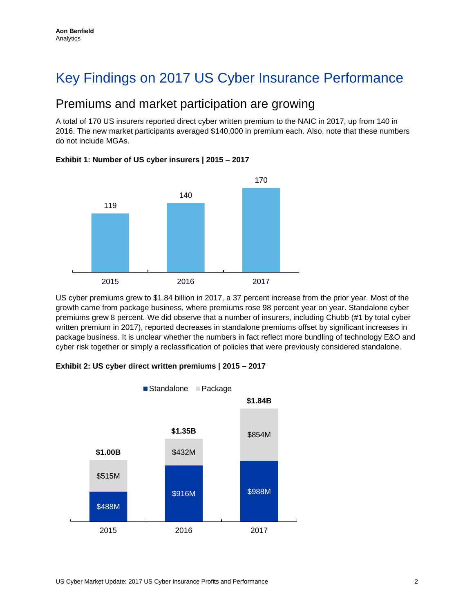# Key Findings on 2017 US Cyber Insurance Performance

### Premiums and market participation are growing

A total of 170 US insurers reported direct cyber written premium to the NAIC in 2017, up from 140 in 2016. The new market participants averaged \$140,000 in premium each. Also, note that these numbers do not include MGAs.



#### **Exhibit 1: Number of US cyber insurers | 2015 – 2017**

US cyber premiums grew to \$1.84 billion in 2017, a 37 percent increase from the prior year. Most of the growth came from package business, where premiums rose 98 percent year on year. Standalone cyber premiums grew 8 percent. We did observe that a number of insurers, including Chubb (#1 by total cyber written premium in 2017), reported decreases in standalone premiums offset by significant increases in package business. It is unclear whether the numbers in fact reflect more bundling of technology E&O and cyber risk together or simply a reclassification of policies that were previously considered standalone.



#### **Exhibit 2: US cyber direct written premiums | 2015 – 2017**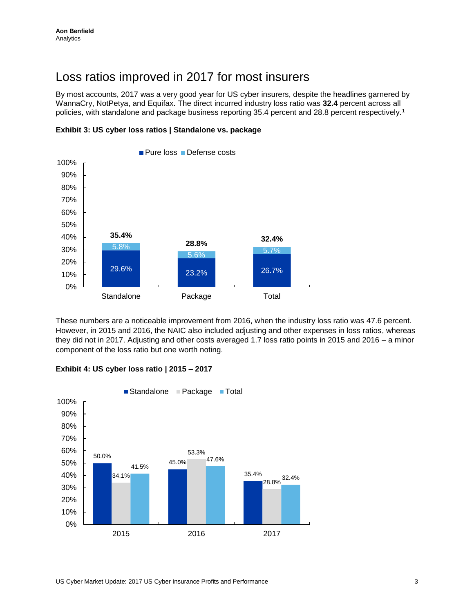### Loss ratios improved in 2017 for most insurers

By most accounts, 2017 was a very good year for US cyber insurers, despite the headlines garnered by WannaCry, NotPetya, and Equifax. The direct incurred industry loss ratio was **32.4** percent across all policies, with standalone and package business reporting 35.4 percent and 28.8 percent respectively.<sup>1</sup>





These numbers are a noticeable improvement from 2016, when the industry loss ratio was 47.6 percent. However, in 2015 and 2016, the NAIC also included adjusting and other expenses in loss ratios, whereas they did not in 2017. Adjusting and other costs averaged 1.7 loss ratio points in 2015 and 2016 – a minor component of the loss ratio but one worth noting.



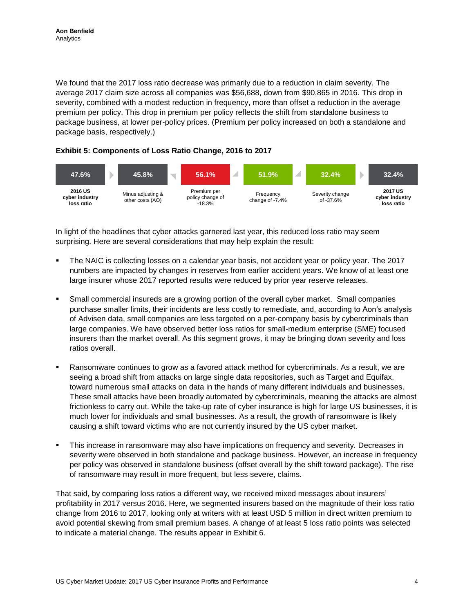We found that the 2017 loss ratio decrease was primarily due to a reduction in claim severity. The average 2017 claim size across all companies was \$56,688, down from \$90,865 in 2016. This drop in severity, combined with a modest reduction in frequency, more than offset a reduction in the average premium per policy. This drop in premium per policy reflects the shift from standalone business to package business, at lower per-policy prices. (Premium per policy increased on both a standalone and package basis, respectively.)

#### **Exhibit 5: Components of Loss Ratio Change, 2016 to 2017**



In light of the headlines that cyber attacks garnered last year, this reduced loss ratio may seem surprising. Here are several considerations that may help explain the result:

- The NAIC is collecting losses on a calendar year basis, not accident year or policy year. The 2017 numbers are impacted by changes in reserves from earlier accident years. We know of at least one large insurer whose 2017 reported results were reduced by prior year reserve releases.
- Small commercial insureds are a growing portion of the overall cyber market. Small companies purchase smaller limits, their incidents are less costly to remediate, and, according to Aon's analysis of Advisen data, small companies are less targeted on a per-company basis by cybercriminals than large companies. We have observed better loss ratios for small-medium enterprise (SME) focused insurers than the market overall. As this segment grows, it may be bringing down severity and loss ratios overall.
- Ransomware continues to grow as a favored attack method for cybercriminals. As a result, we are seeing a broad shift from attacks on large single data repositories, such as Target and Equifax, toward numerous small attacks on data in the hands of many different individuals and businesses. These small attacks have been broadly automated by cybercriminals, meaning the attacks are almost frictionless to carry out. While the take-up rate of cyber insurance is high for large US businesses, it is much lower for individuals and small businesses. As a result, the growth of ransomware is likely causing a shift toward victims who are not currently insured by the US cyber market.
- This increase in ransomware may also have implications on frequency and severity. Decreases in severity were observed in both standalone and package business. However, an increase in frequency per policy was observed in standalone business (offset overall by the shift toward package). The rise of ransomware may result in more frequent, but less severe, claims.

That said, by comparing loss ratios a different way, we received mixed messages about insurers' profitability in 2017 versus 2016. Here, we segmented insurers based on the magnitude of their loss ratio change from 2016 to 2017, looking only at writers with at least USD 5 million in direct written premium to avoid potential skewing from small premium bases. A change of at least 5 loss ratio points was selected to indicate a material change. The results appear in Exhibit 6.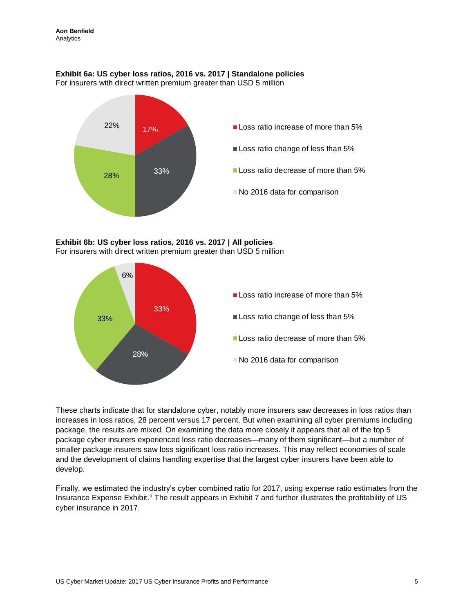#### **Exhibit 6a: US cyber loss ratios, 2016 vs. 2017 | Standalone policies**

For insurers with direct written premium greater than USD 5 million



#### **Exhibit 6b: US cyber loss ratios, 2016 vs. 2017 | All policies** For insurers with direct written premium greater than USD 5 million



These charts indicate that for standalone cyber, notably more insurers saw decreases in loss ratios than increases in loss ratios, 28 percent versus 17 percent. But when examining all cyber premiums including package, the results are mixed. On examining the data more closely it appears that all of the top 5 package cyber insurers experienced loss ratio decreases—many of them significant—but a number of smaller package insurers saw loss significant loss ratio increases. This may reflect economies of scale and the development of claims handling expertise that the largest cyber insurers have been able to develop.

Finally, we estimated the industry's cyber combined ratio for 2017, using expense ratio estimates from the Insurance Expense Exhibit.<sup>2</sup> The result appears in Exhibit 7 and further illustrates the profitability of US cyber insurance in 2017.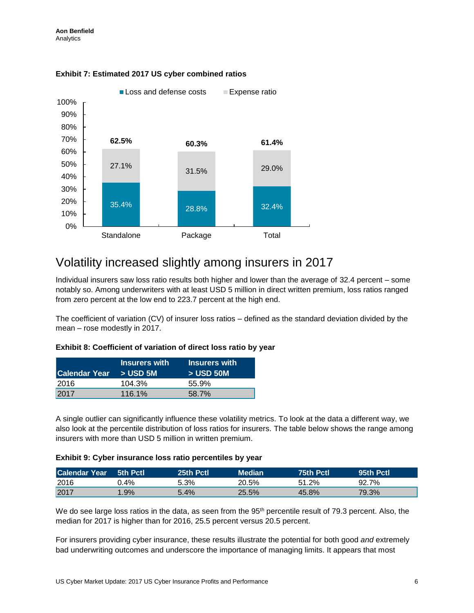

#### **Exhibit 7: Estimated 2017 US cyber combined ratios**

### Volatility increased slightly among insurers in 2017

Individual insurers saw loss ratio results both higher and lower than the average of 32.4 percent – some notably so. Among underwriters with at least USD 5 million in direct written premium, loss ratios ranged from zero percent at the low end to 223.7 percent at the high end.

The coefficient of variation (CV) of insurer loss ratios – defined as the standard deviation divided by the mean – rose modestly in 2017.

#### **Exhibit 8: Coefficient of variation of direct loss ratio by year**

| Calendar Year > USD 5M | <b>Insurers with</b> | <b>Insurers with</b><br>$>$ USD 50M |
|------------------------|----------------------|-------------------------------------|
| 2016                   | 104.3%               | 55.9%                               |
| 2017                   | $116.1\%$            | 58.7%                               |

A single outlier can significantly influence these volatility metrics. To look at the data a different way, we also look at the percentile distribution of loss ratios for insurers. The table below shows the range among insurers with more than USD 5 million in written premium.

#### **Exhibit 9: Cyber insurance loss ratio percentiles by year**

| <b>Calendar Year</b> | 5th Pctl | 25th Pctl | Median | 75th Pctl | 95th Pctl |
|----------------------|----------|-----------|--------|-----------|-----------|
| 2016                 | 0.4%     | 5.3%      | 20.5%  | 51.2%     | 92.7%     |
| 2017                 | $.9\%$   | 5.4%      | 25.5%  | 45.8%     | 79.3%     |

We do see large loss ratios in the data, as seen from the 95<sup>th</sup> percentile result of 79.3 percent. Also, the median for 2017 is higher than for 2016, 25.5 percent versus 20.5 percent.

For insurers providing cyber insurance, these results illustrate the potential for both good *and* extremely bad underwriting outcomes and underscore the importance of managing limits. It appears that most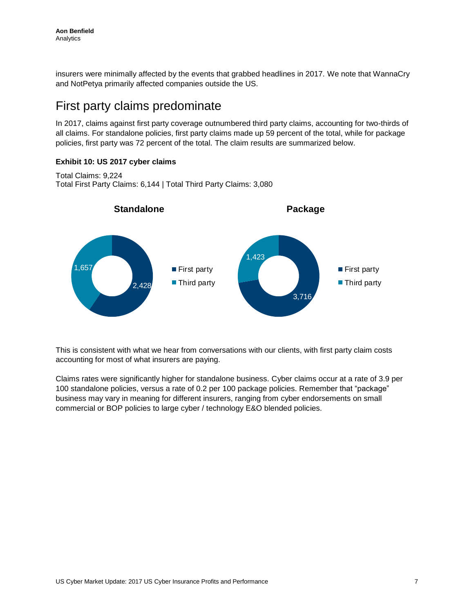insurers were minimally affected by the events that grabbed headlines in 2017. We note that WannaCry and NotPetya primarily affected companies outside the US.

## First party claims predominate

In 2017, claims against first party coverage outnumbered third party claims, accounting for two-thirds of all claims. For standalone policies, first party claims made up 59 percent of the total, while for package policies, first party was 72 percent of the total. The claim results are summarized below.

#### **Exhibit 10: US 2017 cyber claims**

Total Claims: 9,224 Total First Party Claims: 6,144 | Total Third Party Claims: 3,080



This is consistent with what we hear from conversations with our clients, with first party claim costs accounting for most of what insurers are paying.

Claims rates were significantly higher for standalone business. Cyber claims occur at a rate of 3.9 per 100 standalone policies, versus a rate of 0.2 per 100 package policies. Remember that "package" business may vary in meaning for different insurers, ranging from cyber endorsements on small commercial or BOP policies to large cyber / technology E&O blended policies.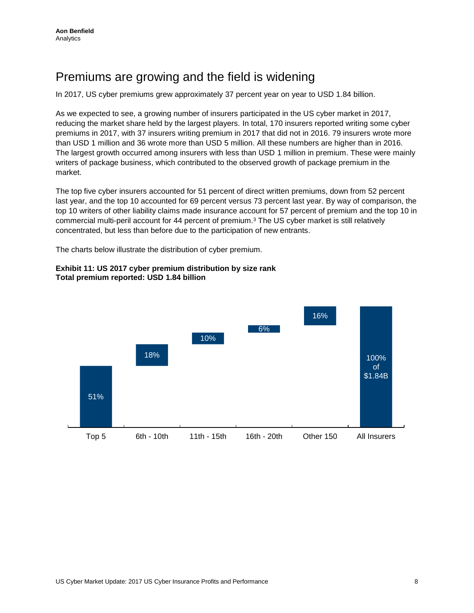# Premiums are growing and the field is widening

In 2017, US cyber premiums grew approximately 37 percent year on year to USD 1.84 billion.

As we expected to see, a growing number of insurers participated in the US cyber market in 2017, reducing the market share held by the largest players. In total, 170 insurers reported writing some cyber premiums in 2017, with 37 insurers writing premium in 2017 that did not in 2016. 79 insurers wrote more than USD 1 million and 36 wrote more than USD 5 million. All these numbers are higher than in 2016. The largest growth occurred among insurers with less than USD 1 million in premium. These were mainly writers of package business, which contributed to the observed growth of package premium in the market.

The top five cyber insurers accounted for 51 percent of direct written premiums, down from 52 percent last year, and the top 10 accounted for 69 percent versus 73 percent last year. By way of comparison, the top 10 writers of other liability claims made insurance account for 57 percent of premium and the top 10 in commercial multi-peril account for 44 percent of premium.<sup>3</sup> The US cyber market is still relatively concentrated, but less than before due to the participation of new entrants.

The charts below illustrate the distribution of cyber premium.



#### **Exhibit 11: US 2017 cyber premium distribution by size rank Total premium reported: USD 1.84 billion**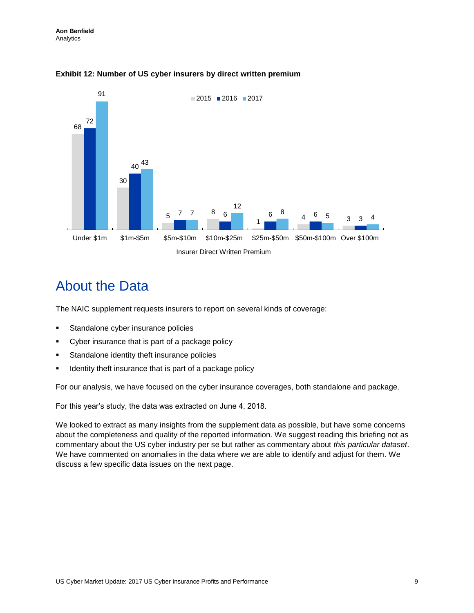

#### **Exhibit 12: Number of US cyber insurers by direct written premium**

## About the Data

The NAIC supplement requests insurers to report on several kinds of coverage:

- **Standalone cyber insurance policies**
- Cyber insurance that is part of a package policy
- **Standalone identity theft insurance policies**
- Identity theft insurance that is part of a package policy

For our analysis, we have focused on the cyber insurance coverages, both standalone and package.

For this year's study, the data was extracted on June 4, 2018.

We looked to extract as many insights from the supplement data as possible, but have some concerns about the completeness and quality of the reported information. We suggest reading this briefing not as commentary about the US cyber industry per se but rather as commentary about *this particular dataset*. We have commented on anomalies in the data where we are able to identify and adjust for them. We discuss a few specific data issues on the next page.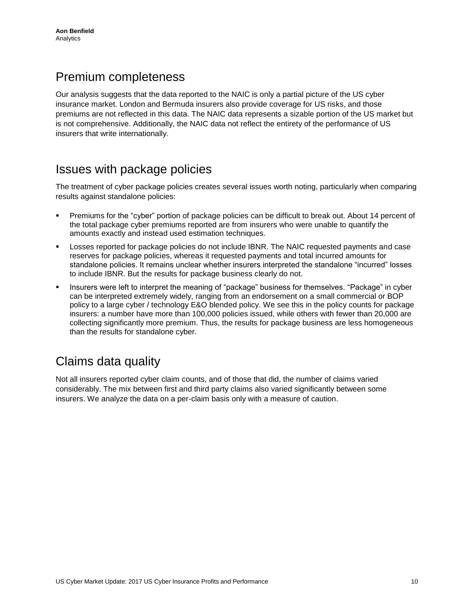## Premium completeness

Our analysis suggests that the data reported to the NAIC is only a partial picture of the US cyber insurance market. London and Bermuda insurers also provide coverage for US risks, and those premiums are not reflected in this data. The NAIC data represents a sizable portion of the US market but is not comprehensive. Additionally, the NAIC data not reflect the entirety of the performance of US insurers that write internationally.

### Issues with package policies

The treatment of cyber package policies creates several issues worth noting, particularly when comparing results against standalone policies:

- Premiums for the "cyber" portion of package policies can be difficult to break out. About 14 percent of the total package cyber premiums reported are from insurers who were unable to quantify the amounts exactly and instead used estimation techniques.
- Losses reported for package policies do not include IBNR. The NAIC requested payments and case reserves for package policies, whereas it requested payments and total incurred amounts for standalone policies. It remains unclear whether insurers interpreted the standalone "incurred" losses to include IBNR. But the results for package business clearly do not.
- Insurers were left to interpret the meaning of "package" business for themselves. "Package" in cyber can be interpreted extremely widely, ranging from an endorsement on a small commercial or BOP policy to a large cyber / technology E&O blended policy. We see this in the policy counts for package insurers: a number have more than 100,000 policies issued, while others with fewer than 20,000 are collecting significantly more premium. Thus, the results for package business are less homogeneous than the results for standalone cyber.

# Claims data quality

Not all insurers reported cyber claim counts, and of those that did, the number of claims varied considerably. The mix between first and third party claims also varied significantly between some insurers. We analyze the data on a per-claim basis only with a measure of caution.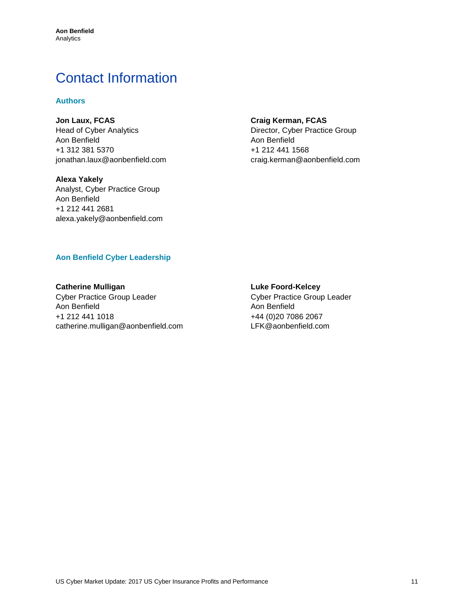# Contact Information

#### **Authors**

**Jon Laux, FCAS** Head of Cyber Analytics Aon Benfield +1 312 381 5370 [jonathan.laux@aonbenfield.com](mailto:jonathan.laux@aonbenfield.com)

**Alexa Yakely** Analyst, Cyber Practice Group Aon Benfield +1 212 441 2681 alexa.yakely@aonbenfield.com

#### **Craig Kerman, FCAS**

Director, Cyber Practice Group Aon Benfield +1 212 441 1568 [craig.kerman@aonbenfield.com](mailto:craig.kerman@aonbenfield.com)

#### **Aon Benfield Cyber Leadership**

**Catherine Mulligan** Cyber Practice Group Leader Aon Benfield +1 212 441 1018 catherine.mulligan@aonbenfield.com

#### **Luke Foord-Kelcey**

Cyber Practice Group Leader Aon Benfield +44 (0)20 7086 2067 LFK@aonbenfield.com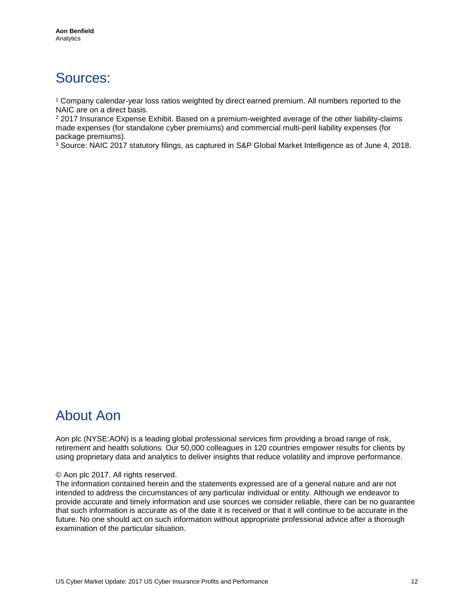# Sources:

<sup>1</sup> Company calendar-year loss ratios weighted by direct earned premium. All numbers reported to the NAIC are on a direct basis.

 $22017$  Insurance Expense Exhibit. Based on a premium-weighted average of the other liability-claims made expenses (for standalone cyber premiums) and commercial multi-peril liability expenses (for package premiums).

<sup>3</sup> Source: NAIC 2017 statutory filings, as captured in S&P Global Market Intelligence as of June 4, 2018.

# About Aon

Aon plc (NYSE:AON) is a leading global professional services firm providing a broad range of risk, retirement and health solutions. Our 50,000 colleagues in 120 countries empower results for clients by using proprietary data and analytics to deliver insights that reduce volatility and improve performance.

#### © Aon plc 2017. All rights reserved.

The information contained herein and the statements expressed are of a general nature and are not intended to address the circumstances of any particular individual or entity. Although we endeavor to provide accurate and timely information and use sources we consider reliable, there can be no guarantee that such information is accurate as of the date it is received or that it will continue to be accurate in the future. No one should act on such information without appropriate professional advice after a thorough examination of the particular situation.